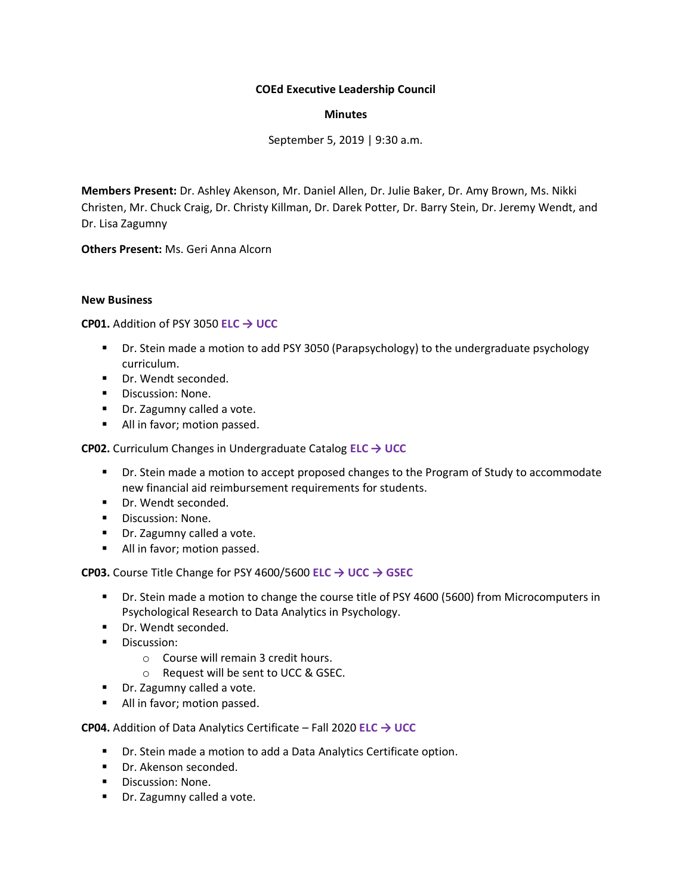# **COEd Executive Leadership Council**

### **Minutes**

September 5, 2019 | 9:30 a.m.

**Members Present:** Dr. Ashley Akenson, Mr. Daniel Allen, Dr. Julie Baker, Dr. Amy Brown, Ms. Nikki Christen, Mr. Chuck Craig, Dr. Christy Killman, Dr. Darek Potter, Dr. Barry Stein, Dr. Jeremy Wendt, and Dr. Lisa Zagumny

**Others Present:** Ms. Geri Anna Alcorn

# **New Business**

**CP01.** Addition of PSY 3050 **ELC → UCC**

- Dr. Stein made a motion to add PSY 3050 (Parapsychology) to the undergraduate psychology curriculum.
- Dr. Wendt seconded.
- Discussion: None.
- Dr. Zagumny called a vote.
- All in favor; motion passed.

**CP02.** Curriculum Changes in Undergraduate Catalog **ELC → UCC**

- **Dr. Stein made a motion to accept proposed changes to the Program of Study to accommodate** new financial aid reimbursement requirements for students.
- Dr. Wendt seconded.
- Discussion: None.
- Dr. Zagumny called a vote.
- All in favor; motion passed.

**CP03.** Course Title Change for PSY 4600/5600 **ELC → UCC → GSEC**

- **•** Dr. Stein made a motion to change the course title of PSY 4600 (5600) from Microcomputers in Psychological Research to Data Analytics in Psychology.
- Dr. Wendt seconded.
- Discussion:
	- o Course will remain 3 credit hours.
	- o Request will be sent to UCC & GSEC.
- Dr. Zagumny called a vote.
- All in favor; motion passed.

**CP04.** Addition of Data Analytics Certificate – Fall 2020 **ELC → UCC**

- Dr. Stein made a motion to add a Data Analytics Certificate option.
- Dr. Akenson seconded.
- Discussion: None.
- Dr. Zagumny called a vote.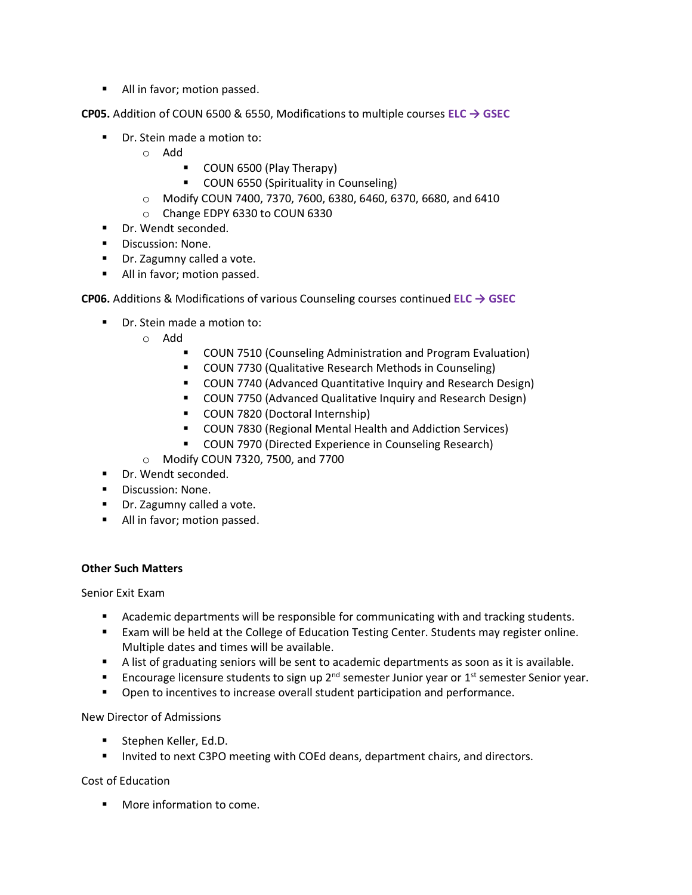■ All in favor; motion passed.

**CP05.** Addition of COUN 6500 & 6550, Modifications to multiple courses **ELC → GSEC**

- Dr. Stein made a motion to:
	- o Add
		- COUN 6500 (Play Therapy)
		- COUN 6550 (Spirituality in Counseling)
	- o Modify COUN 7400, 7370, 7600, 6380, 6460, 6370, 6680, and 6410
	- o Change EDPY 6330 to COUN 6330
- Dr. Wendt seconded.
- Discussion: None.
- Dr. Zagumny called a vote.
- All in favor; motion passed.

**CP06.** Additions & Modifications of various Counseling courses continued **ELC → GSEC**

- Dr. Stein made a motion to:
	- o Add
		- COUN 7510 (Counseling Administration and Program Evaluation)
		- COUN 7730 (Qualitative Research Methods in Counseling)
		- COUN 7740 (Advanced Quantitative Inquiry and Research Design)
		- COUN 7750 (Advanced Qualitative Inquiry and Research Design)
		- COUN 7820 (Doctoral Internship)
		- COUN 7830 (Regional Mental Health and Addiction Services)
		- COUN 7970 (Directed Experience in Counseling Research)
	- o Modify COUN 7320, 7500, and 7700
- Dr. Wendt seconded.
- Discussion: None.
- Dr. Zagumny called a vote.
- All in favor; motion passed.

#### **Other Such Matters**

Senior Exit Exam

- Academic departments will be responsible for communicating with and tracking students.
- Exam will be held at the College of Education Testing Center. Students may register online. Multiple dates and times will be available.
- A list of graduating seniors will be sent to academic departments as soon as it is available.
- **Encourage licensure students to sign up 2<sup>nd</sup> semester Junior year or 1st semester Senior year.**
- Open to incentives to increase overall student participation and performance.

New Director of Admissions

- Stephen Keller, Ed.D.
- Invited to next C3PO meeting with COEd deans, department chairs, and directors.

Cost of Education

■ More information to come.